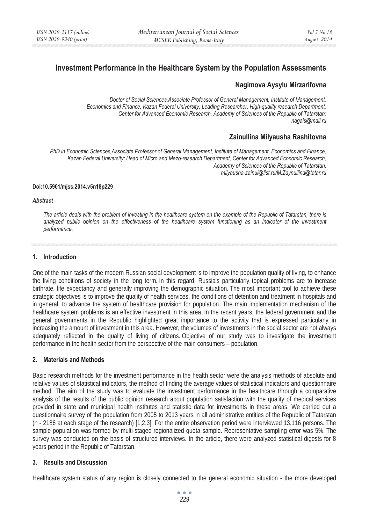# **Investment Performance in the Healthcare System by the Population Assessments**

## **Nagimova Aysylu Mirzarifovna**

*Doctor of Social Sciences,Associate Professor of General Management, Institute of Management, Economics and Finance, Kazan Federal University; Leading Researcher, High-quality research Department, Center for Advanced Economic Research, Academy of Sciences of the Republic of Tatarstan; nagais@mail.ru* 

## **Zainullina Milyausha Rashitovna**

*PhD in Economic Sciences,Associate Professor of General Management, Institute of Management, Economics and Finance, Kazan Federal University; Head of Micro and Mezo-research Department, Center for Advanced Economic Research, Academy of Sciences of the Republic of Tatarstan; milyausha-zainul@list.ru/M.Zaynullina@tatar.ru* 

#### **Doi:10.5901/mjss.2014.v5n18p229**

#### *Abstract*

*The article deals with the problem of investing in the healthcare system on the example of the Republic of Tatarstan, there is*  analyzed public opinion on the effectiveness of the healthcare system functioning as an indicator of the investment *performance.* 

#### **1. Introduction**

One of the main tasks of the modern Russian social development is to improve the population quality of living, to enhance the living conditions of society in the long term. In this regard, Russia's particularly topical problems are to increase birthrate, life expectancy and generally improving the demographic situation. The most important tool to achieve these strategic objectives is to improve the quality of health services, the conditions of detention and treatment in hospitals and in general, to advance the system of healthcare provision for population. The main implementation mechanism of the healthcare system problems is an effective investment in this area. In the recent years, the federal government and the general governments in the Republic highlighted great importance to the activity that is expressed particularly in increasing the amount of investment in this area. However, the volumes of investments in the social sector are not always adequately reflected in the quality of living of citizens. Objective of our study was to investigate the investment performance in the health sector from the perspective of the main consumers – population.

## **2. Materials and Methods**

Basic research methods for the investment performance in the health sector were the analysis methods of absolute and relative values of statistical indicators, the method of finding the average values of statistical indicators and questionnaire method. The aim of the study was to evaluate the investment performance in the healthcare through a comparative analysis of the results of the public opinion research about population satisfaction with the quality of medical services provided in state and municipal health institutes and statistic data for investments in these areas. We carried out a questionnaire survey of the population from 2005 to 2013 years in all administrative entities of the Republic of Tatarstan (n - 2186 at each stage of the research) [1,2,3]. For the entire observation period were interviewed 13,116 persons. The sample population was formed by multi-staged regionalized quota sample. Representative sampling error was 5%. The survey was conducted on the basis of structured interviews. In the article, there were analyzed statistical digests for 8 years period in the Republic of Tatarstan.

## **3. Results and Discussion**

Healthcare system status of any region is closely connected to the general economic situation - the more developed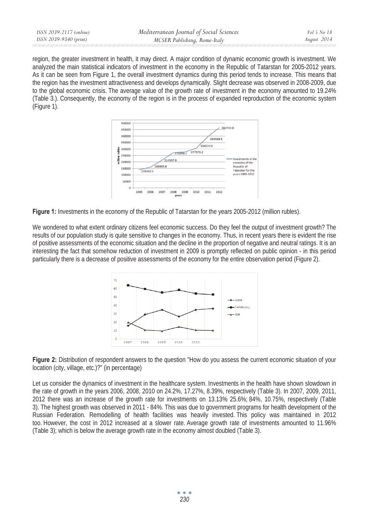| ISSN 2039-9340 (print)<br>MCSER Publishing, Rome-Italy | August 2014 |
|--------------------------------------------------------|-------------|

region, the greater investment in health, it may direct. A major condition of dynamic economic growth is investment. We analyzed the main statistical indicators of investment in the economy in the Republic of Tatarstan for 2005-2012 years. As it can be seen from Figure 1, the overall investment dynamics during this period tends to increase. This means that the region has the investment attractiveness and develops dynamically. Slight decrease was observed in 2008-2009, due to the global economic crisis. The average value of the growth rate of investment in the economy amounted to 19.24% (Table 3.). Consequently, the economy of the region is in the process of expanded reproduction of the economic system (Figure 1).



**Figure 1:** Investments in the economy of the Republic of Tatarstan for the years 2005-2012 (million rubles).

We wondered to what extent ordinary citizens feel economic success. Do they feel the output of investment growth? The results of our population study is quite sensitive to changes in the economy. Thus, in recent years there is evident the rise of positive assessments of the economic situation and the decline in the proportion of negative and neutral ratings. It is an interesting the fact that somehow reduction of investment in 2009 is promptly reflected on public opinion - in this period particularly there is a decrease of positive assessments of the economy for the entire observation period (Figure 2).



**Figure 2:** Distribution of respondent answers to the question "How do you assess the current economic situation of your location (city, village, etc.)?" (in percentage)

Let us consider the dynamics of investment in the healthcare system. Investments in the health have shown slowdown in the rate of growth in the years 2006, 2008, 2010 on 24.2%, 17.27%, 8.39%, respectively (Table 3). In 2007, 2009, 2011, 2012 there was an increase of the growth rate for investments on 13.13% 25.6%; 84%, 10.75%, respectively (Table 3). The highest growth was observed in 2011 - 84%. This was due to government programs for health development of the Russian Federation. Remodelling of health facilities was heavily invested. This policy was maintained in 2012 too. However, the cost in 2012 increased at a slower rate. Average growth rate of investments amounted to 11.96% (Table 3); which is below the average growth rate in the economy almost doubled (Table 3).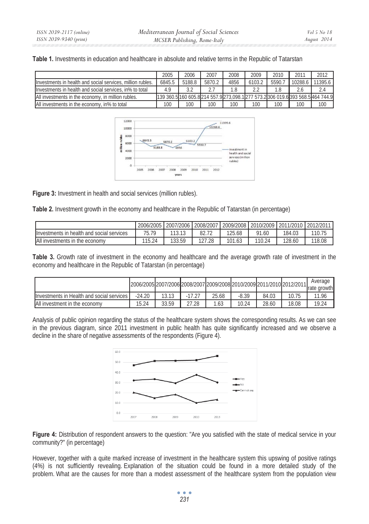**Table 1.** Investments in education and healthcare in absolute and relative terms in the Republic of Tatarstan

|                                                             | 2005                                                                      | 2006   | 2007   | 2008 | 2009   | 2010  | 2011    | 2012   |
|-------------------------------------------------------------|---------------------------------------------------------------------------|--------|--------|------|--------|-------|---------|--------|
| llnyestments in health and social services, million rubles. | 6845.5                                                                    | 5188.8 | 5870.2 | 4856 | 6103.2 | 5590. | 10288.6 | 1395.6 |
| Investments in health and social services, in% to total     | 4.9                                                                       |        |        | 1.8  |        |       |         | 2.4    |
| All investments in the economy, in million rubles.          | 139 360.51160 605.8214 557.9273.098.1277 573.2306 019.6393 568.5464 744.9 |        |        |      |        |       |         |        |
| All investments in the economy, in% to total                | 100                                                                       | 100    | 100    | 100  | 100    | 100   | 100     | 100    |



**Figure 3:** Investment in health and social services (million rubles).

**Table 2.** Investment growth in the economy and healthcare in the Republic of Tatarstan (in percentage)

|                                           | 2006/2005 | 2007/2006 | 2008/2007 |        | 2009/2008 2010/2009 | 2011/2010 2012/2011 |        |
|-------------------------------------------|-----------|-----------|-----------|--------|---------------------|---------------------|--------|
| Investments in health and social services |           |           | 82.7      | 125.68 | 91.60               | 184.03              | 110.75 |
| All investments in the economy            | 115.24    | 133.59    | 127.28    | 101.63 | 110.24              | 128.60              | 18.08  |

**Table 3.** Growth rate of investment in the economy and healthcare and the average growth rate of investment in the economy and healthcare in the Republic of Tatarstan (in percentage)

|                                           |          |       |     |       | 2006/2005 2007/2006 2008/2007 2009/2008 2010/2009 2011/2010 2012/2011 |       |       | Average<br>rate growth |
|-------------------------------------------|----------|-------|-----|-------|-----------------------------------------------------------------------|-------|-------|------------------------|
| Investments in Health and social services | $-24.20$ | 13.13 |     | 25.68 | -8.39                                                                 | 84.03 | 10.75 | '1.96                  |
| All investment in the economy             | 15.24    | 33.59 | .28 | 1.63  | 10.24                                                                 | 28.60 | 18.08 | 19.24                  |

Analysis of public opinion regarding the status of the healthcare system shows the corresponding results. As we can see in the previous diagram, since 2011 investment in public health has quite significantly increased and we observe a decline in the share of negative assessments of the respondents (Figure 4).



**Figure 4:** Distribution of respondent answers to the question: "Are you satisfied with the state of medical service in your community?" (in percentage)

However, together with a quite marked increase of investment in the healthcare system this upswing of positive ratings (4%) is not sufficiently revealing. Explanation of the situation could be found in a more detailed study of the problem. What are the causes for more than a modest assessment of the healthcare system from the population view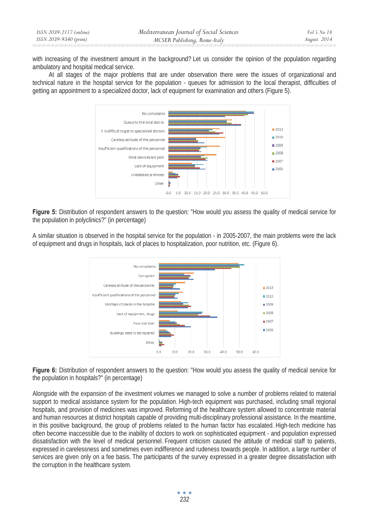| ISSN 2039-2117 (online) | Mediterranean Journal of Social Sciences | Vol 5 No 18 |
|-------------------------|------------------------------------------|-------------|
| ISSN 2039-9340 (print)  | MCSER Publishing, Rome-Italy             | August 2014 |

with increasing of the investment amount in the background? Let us consider the opinion of the population regarding ambulatory and hospital medical service.

At all stages of the major problems that are under observation there were the issues of organizational and technical nature in the hospital service for the population - queues for admission to the local therapist, difficulties of getting an appointment to a specialized doctor, lack of equipment for examination and others (Figure 5).



**Figure 5:** Distribution of respondent answers to the question: "How would you assess the quality of medical service for the population in polyclinics?" (in percentage)

A similar situation is observed in the hospital service for the population - in 2005-2007, the main problems were the lack of equipment and drugs in hospitals, lack of places to hospitalization, poor nutrition, etc. (Figure 6).



**Figure 6:** Distribution of respondent answers to the question: "How would you assess the quality of medical service for the population in hospitals?" (in percentage)

Alongside with the expansion of the investment volumes we managed to solve a number of problems related to material support to medical assistance system for the population. High-tech equipment was purchased, including small regional hospitals, and provision of medicines was improved. Reforming of the healthcare system allowed to concentrate material and human resources at district hospitals capable of providing multi-disciplinary professional assistance. In the meantime, in this positive background, the group of problems related to the human factor has escalated. High-tech medicine has often become inaccessible due to the inability of doctors to work on sophisticated equipment - and population expressed dissatisfaction with the level of medical personnel. Frequent criticism caused the attitude of medical staff to patients, expressed in carelessness and sometimes even indifference and rudeness towards people. In addition, a large number of services are given only on a fee basis. The participants of the survey expressed in a greater degree dissatisfaction with the corruption in the healthcare system.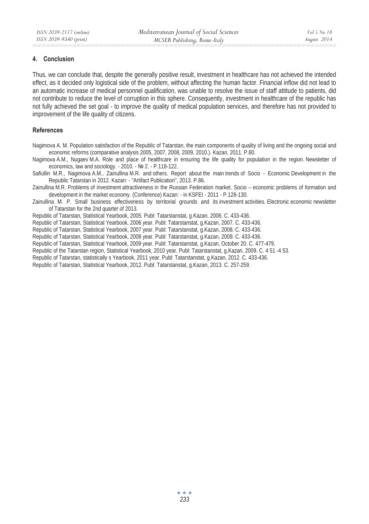### **4. Conclusion**

Thus, we can conclude that, despite the generally positive result, investment in healthcare has not achieved the intended effect, as it decided only logistical side of the problem, without affecting the human factor. Financial inflow did not lead to an automatic increase of medical personnel qualification, was unable to resolve the issue of staff attitude to patients, did not contribute to reduce the level of corruption in this sphere. Consequently, investment in healthcare of the republic has not fully achieved the set goal - to improve the quality of medical population services, and therefore has not provided to improvement of the life quality of citizens.

### **References**

Nagimova A. M. Population satisfaction of the Republic of Tatarstan, the main components of quality of living and the ongoing social and economic reforms (comparative analysis 2005, 2007, 2008, 2009, 2010.). Kazan, 2011. P.80.

Nagimova A.M., Nugaev M.A. Role and place of healthcare in ensuring the life quality for population in the region. Newsletter of economics, law and sociology. - 2010. - No 2. - P.118-122.

Safiullin M.R., Nagimova A.M., Zainullina M.R. and others. Report about the main trends of Socio - Economic Development in the Republic Tatarstan in 2012. Kazan: - "Artifact Publication", 2013. P.86.

Zainullina M.R. Problems of investment attractiveness in the Russian Federation market. Socio – economic problems of formation and development in the market economy. (Conference) Kazan: - in KSFEI - 2011 - P.128-130.

Zainullina M. P. Small business effectiveness by territorial grounds and its investment activities. Electronic economic newsletter of Tatarstan for the 2nd quarter of 2013.

Republic of Tatarstan, Statistical Yearbook, 2005. Publ: Tatarstanstat, g.Kazan, 2006. C. 433-436.

Republic of Tatarstan, Statistical Yearbook, 2006 year. Publ: Tatarstanstat, g.Kazan, 2007. C. 433-436.

Republic of Tatarstan, Statistical Yearbook, 2007 year. Publ: Tatarstanstat, g.Kazan, 2008. C. 433-436.

Republic of Tatarstan, Statistical Yearbook, 2008 year. Publ: Tatarstanstat, g.Kazan, 2009. C. 433-436.

Republic of Tatarstan, Statistical Yearbook, 2009 year. Publ: Tatarstanstat, g.Kazan, October 20. C. 477-479.

Republic of the Tatarstan region, Statistical Yearbook, 2010 year. Publ: Tatarstanstat, g.Kazan, 2009. C. 4 51 -4 53.

Republic of Tatarstan, statistically s Yearbook, 2011 year. Publ: Tatarstanstat, g.Kazan, 2012. C. 433-436.

Republic of Tatarstan, Statistical Yearbook, 2012. Publ: Tatarstanstat, g.Kazan, 2013. C. 257-259.